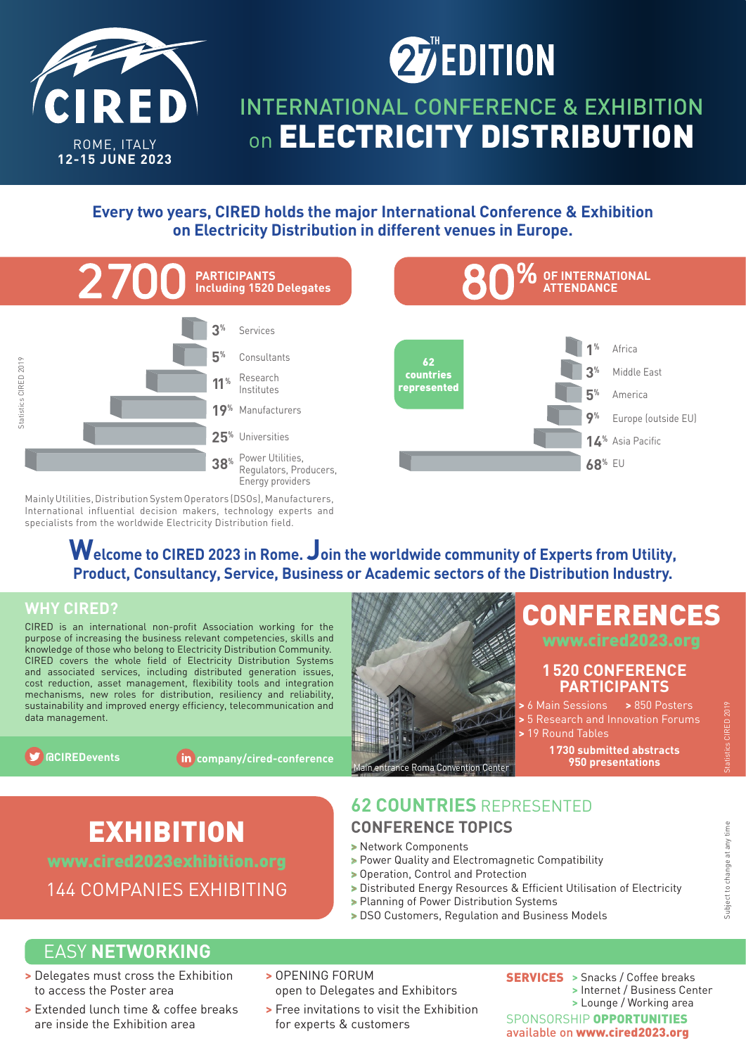

# **EDITION**

# INTERNATIONAL CONFERENCE & EXHIBITION on **ELECTRICITY DISTRIBUTION**

## **Every two years, CIRED holds the major International Conference & Exhibition on Electricity Distribution in different venues in Europe.**



Mainly Utilities, Distribution System Operators (DSOs), Manufacturers, International influential decision makers, technology experts and specialists from the worldwide Electricity Distribution field.

# **Welcome to CIRED 2023 in Rome. Join the worldwide community of Experts from Utility, Product, Consultancy, Service, Business or Academic sectors of the Distribution Industry.**

## **WHY CIRED?**

CIRED is an international non-profit Association working for the purpose of increasing the business relevant competencies, skills and knowledge of those who belong to Electricity Distribution Community. CIRED covers the whole field of Electricity Distribution Systems and associated services, including distributed generation issues, cost reduction, asset management, flexibility tools and integration mechanisms, new roles for distribution, resiliency and reliability, sustainability and improved energy efficiency, telecommunication and data management.

**@CIREDevents company/cired-conference** Main entrance Roma Convention Center

# **1 520 CONFERENCE PARTICIPANTS**

- 
- **>** 19 Round Tables

**1 730 submitted abstracts 950 presentations**

CONFERENCES

# EXHIBITION

144 COMPANIES EXHIBITING

## **62 COUNTRIES** REPRESENTED **CONFERENCE TOPICS**

- **>** Network Components
- **>** Power Quality and Electromagnetic Compatibility
- **>** Operation, Control and Protection
- > Distributed Energy Resources & Efficient Utilisation of Electricity
- **>** Planning of Power Distribution Systems
- **>** DSO Customers, Regulation and Business Models

# EASY **NETWORKING**

- **>** Delegates must cross the Exhibition to access the Poster area
- **>** Extended lunch time & coffee breaks are inside the Exhibition area
- **>** OPENING FORUM open to Delegates and Exhibitors
- **>** Free invitations to visit the Exhibition for experts & customers

SERVICES **>** Snacks / Coffee breaks **>** Internet / Business Center **>** Lounge / Working area SPONSORSHIP OPPORTUNITIES available on www.cired2023.org

Subject to change at any time

Subject to change at any time